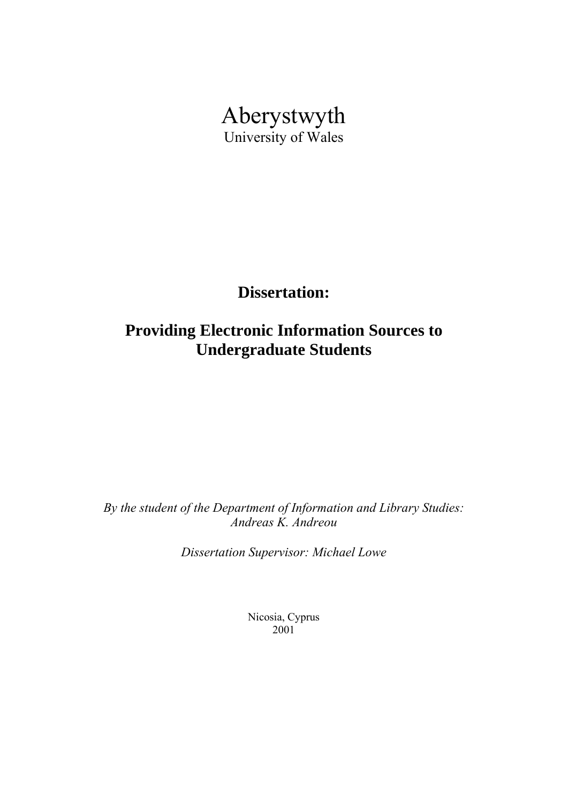

**Dissertation:** 

# **Providing Electronic Information Sources to Undergraduate Students**

*By the student of the Department of Information and Library Studies: Andreas K. Andreou* 

*Dissertation Supervisor: Michael Lowe*

Nicosia, Cyprus 2001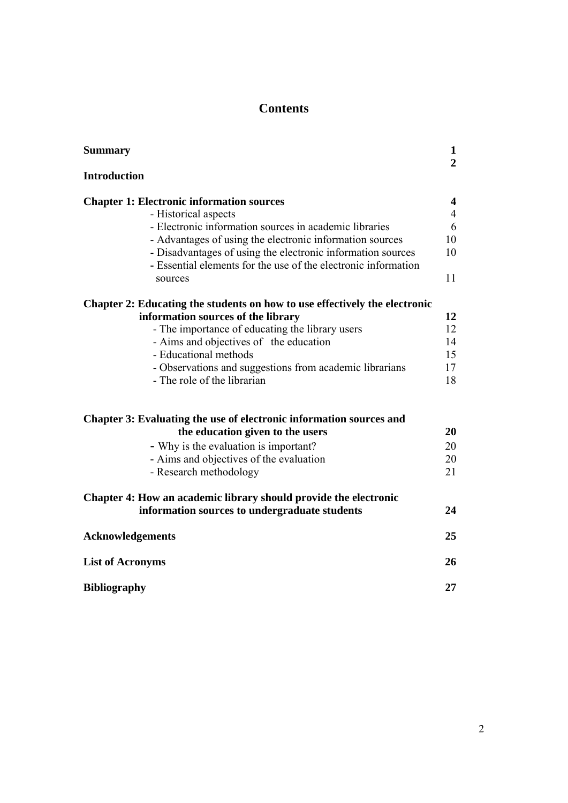# **Contents**

| <b>Summary</b>                                                                                                                | $\mathbf{1}$<br>$\overline{2}$ |
|-------------------------------------------------------------------------------------------------------------------------------|--------------------------------|
| <b>Introduction</b>                                                                                                           |                                |
| <b>Chapter 1: Electronic information sources</b>                                                                              | 4                              |
| - Historical aspects                                                                                                          | $\overline{4}$                 |
| - Electronic information sources in academic libraries                                                                        | 6                              |
| - Advantages of using the electronic information sources                                                                      | 10                             |
| - Disadvantages of using the electronic information sources<br>- Essential elements for the use of the electronic information | 10                             |
| sources                                                                                                                       | 11                             |
| Chapter 2: Educating the students on how to use effectively the electronic                                                    |                                |
| information sources of the library                                                                                            | 12                             |
| - The importance of educating the library users                                                                               | 12                             |
| - Aims and objectives of the education                                                                                        | 14                             |
| - Educational methods                                                                                                         | 15                             |
| - Observations and suggestions from academic librarians                                                                       | 17                             |
| - The role of the librarian                                                                                                   | 18                             |
| Chapter 3: Evaluating the use of electronic information sources and                                                           |                                |
| the education given to the users                                                                                              | 20                             |
| - Why is the evaluation is important?                                                                                         | 20                             |
| - Aims and objectives of the evaluation                                                                                       | 20                             |
| - Research methodology                                                                                                        | 21                             |
| Chapter 4: How an academic library should provide the electronic                                                              |                                |
| information sources to undergraduate students                                                                                 | 24                             |
| <b>Acknowledgements</b>                                                                                                       | 25                             |
| <b>List of Acronyms</b>                                                                                                       | 26                             |
| <b>Bibliography</b>                                                                                                           | 27                             |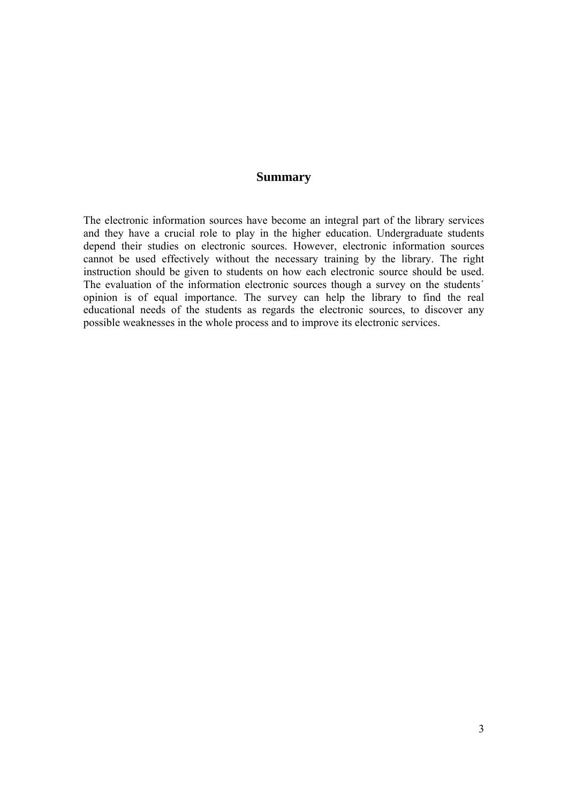# **Summary**

The electronic information sources have become an integral part of the library services and they have a crucial role to play in the higher education. Undergraduate students depend their studies on electronic sources. However, electronic information sources cannot be used effectively without the necessary training by the library. The right instruction should be given to students on how each electronic source should be used. The evaluation of the information electronic sources though a survey on the students´ opinion is of equal importance. The survey can help the library to find the real educational needs of the students as regards the electronic sources, to discover any possible weaknesses in the whole process and to improve its electronic services.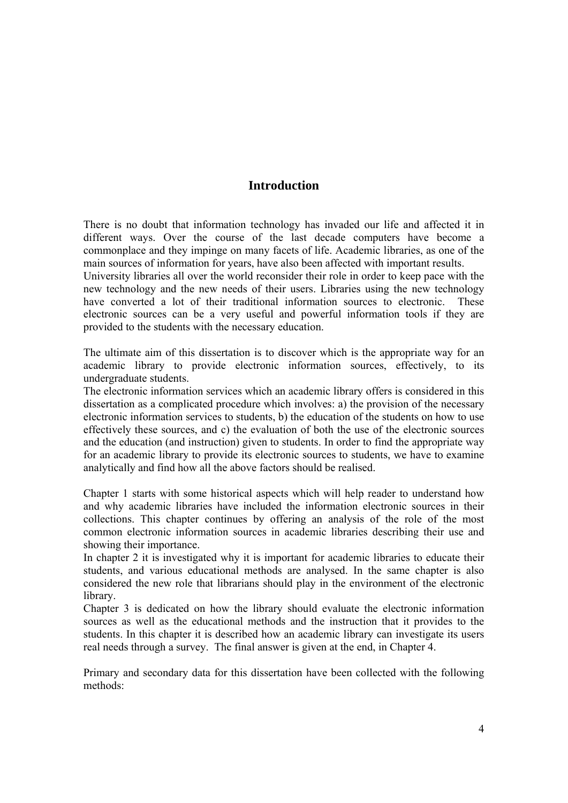# **Introduction**

There is no doubt that information technology has invaded our life and affected it in different ways. Over the course of the last decade computers have become a commonplace and they impinge on many facets of life. Academic libraries, as one of the main sources of information for years, have also been affected with important results.

University libraries all over the world reconsider their role in order to keep pace with the new technology and the new needs of their users. Libraries using the new technology have converted a lot of their traditional information sources to electronic. These electronic sources can be a very useful and powerful information tools if they are provided to the students with the necessary education.

The ultimate aim of this dissertation is to discover which is the appropriate way for an academic library to provide electronic information sources, effectively, to its undergraduate students.

The electronic information services which an academic library offers is considered in this dissertation as a complicated procedure which involves: a) the provision of the necessary electronic information services to students, b) the education of the students on how to use effectively these sources, and c) the evaluation of both the use of the electronic sources and the education (and instruction) given to students. In order to find the appropriate way for an academic library to provide its electronic sources to students, we have to examine analytically and find how all the above factors should be realised.

Chapter 1 starts with some historical aspects which will help reader to understand how and why academic libraries have included the information electronic sources in their collections. This chapter continues by offering an analysis of the role of the most common electronic information sources in academic libraries describing their use and showing their importance.

In chapter 2 it is investigated why it is important for academic libraries to educate their students, and various educational methods are analysed. In the same chapter is also considered the new role that librarians should play in the environment of the electronic library.

Chapter 3 is dedicated on how the library should evaluate the electronic information sources as well as the educational methods and the instruction that it provides to the students. In this chapter it is described how an academic library can investigate its users real needs through a survey. The final answer is given at the end, in Chapter 4.

Primary and secondary data for this dissertation have been collected with the following methods: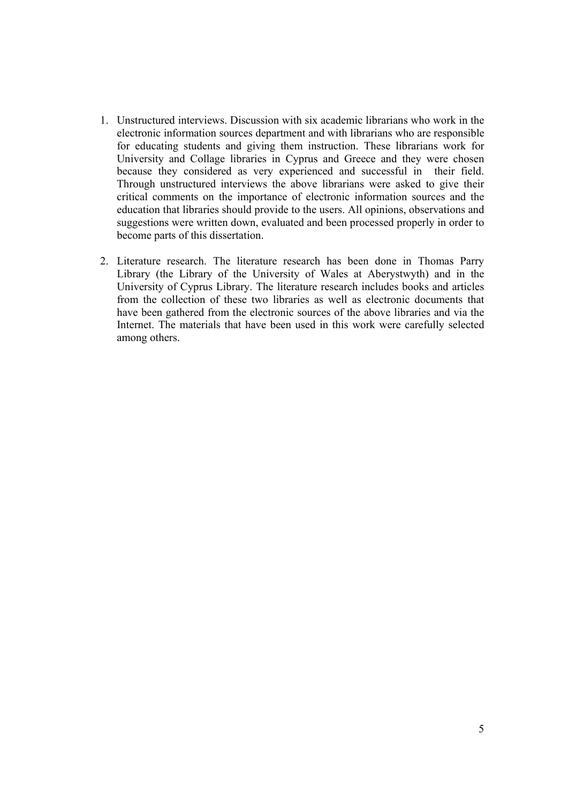- 1. Unstructured interviews. Discussion with six academic librarians who work in the electronic information sources department and with librarians who are responsible for educating students and giving them instruction. These librarians work for University and Collage libraries in Cyprus and Greece and they were chosen because they considered as very experienced and successful in their field. Through unstructured interviews the above librarians were asked to give their critical comments on the importance of electronic information sources and the education that libraries should provide to the users. All opinions, observations and suggestions were written down, evaluated and been processed properly in order to become parts of this dissertation.
- 2. Literature research. The literature research has been done in Thomas Parry Library (the Library of the University of Wales at Aberystwyth) and in the University of Cyprus Library. The literature research includes books and articles from the collection of these two libraries as well as electronic documents that have been gathered from the electronic sources of the above libraries and via the Internet. The materials that have been used in this work were carefully selected among others.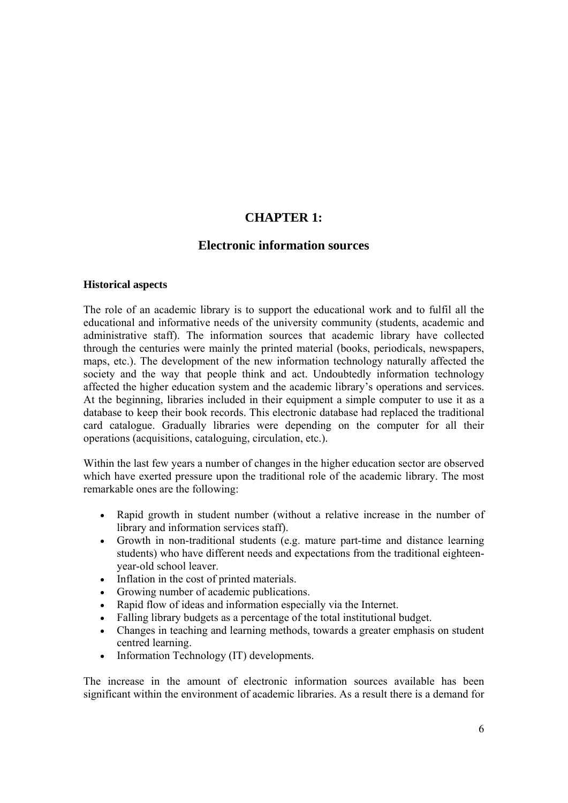# **CHAPTER 1:**

# **Electronic information sources**

#### **Historical aspects**

The role of an academic library is to support the educational work and to fulfil all the educational and informative needs of the university community (students, academic and administrative staff). The information sources that academic library have collected through the centuries were mainly the printed material (books, periodicals, newspapers, maps, etc.). The development of the new information technology naturally affected the society and the way that people think and act. Undoubtedly information technology affected the higher education system and the academic library's operations and services. At the beginning, libraries included in their equipment a simple computer to use it as a database to keep their book records. This electronic database had replaced the traditional card catalogue. Gradually libraries were depending on the computer for all their operations (acquisitions, cataloguing, circulation, etc.).

Within the last few years a number of changes in the higher education sector are observed which have exerted pressure upon the traditional role of the academic library. The most remarkable ones are the following:

- Rapid growth in student number (without a relative increase in the number of library and information services staff).
- Growth in non-traditional students (e.g. mature part-time and distance learning students) who have different needs and expectations from the traditional eighteenyear-old school leaver.
- Inflation in the cost of printed materials.
- Growing number of academic publications.
- Rapid flow of ideas and information especially via the Internet.
- Falling library budgets as a percentage of the total institutional budget.
- Changes in teaching and learning methods, towards a greater emphasis on student centred learning.
- Information Technology *(IT)* developments.

The increase in the amount of electronic information sources available has been significant within the environment of academic libraries. As a result there is a demand for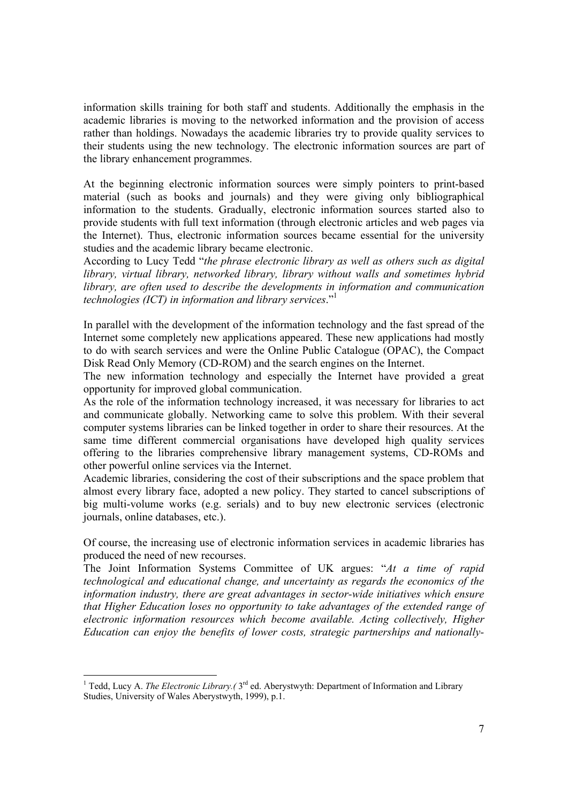information skills training for both staff and students. Additionally the emphasis in the academic libraries is moving to the networked information and the provision of access rather than holdings. Nowadays the academic libraries try to provide quality services to their students using the new technology. The electronic information sources are part of the library enhancement programmes.

At the beginning electronic information sources were simply pointers to print-based material (such as books and journals) and they were giving only bibliographical information to the students. Gradually, electronic information sources started also to provide students with full text information (through electronic articles and web pages via the Internet). Thus, electronic information sources became essential for the university studies and the academic library became electronic.

According to Lucy Tedd "*the phrase electronic library as well as others such as digital library, virtual library, networked library, library without walls and sometimes hybrid library, are often used to describe the developments in information and communication technologies (ICT) in information and library services*."1

In parallel with the development of the information technology and the fast spread of the Internet some completely new applications appeared. These new applications had mostly to do with search services and were the Online Public Catalogue (OPAC), the Compact Disk Read Only Memory (CD-ROM) and the search engines on the Internet.

The new information technology and especially the Internet have provided a great opportunity for improved global communication.

As the role of the information technology increased, it was necessary for libraries to act and communicate globally. Networking came to solve this problem. With their several computer systems libraries can be linked together in order to share their resources. At the same time different commercial organisations have developed high quality services offering to the libraries comprehensive library management systems, CD-ROMs and other powerful online services via the Internet.

Academic libraries, considering the cost of their subscriptions and the space problem that almost every library face, adopted a new policy. They started to cancel subscriptions of big multi-volume works (e.g. serials) and to buy new electronic services (electronic journals, online databases, etc.).

Of course, the increasing use of electronic information services in academic libraries has produced the need of new recourses.

The Joint Information Systems Committee of UK argues: "*At a time of rapid technological and educational change, and uncertainty as regards the economics of the information industry, there are great advantages in sector-wide initiatives which ensure that Higher Education loses no opportunity to take advantages of the extended range of electronic information resources which become available. Acting collectively, Higher Education can enjoy the benefits of lower costs, strategic partnerships and nationally-*

<sup>&</sup>lt;sup>1</sup> Tedd, Lucy A. *The Electronic Library.* (3<sup>rd</sup> ed. Aberystwyth: Department of Information and Library Studies, University of Wales Aberystwyth, 1999), p.1.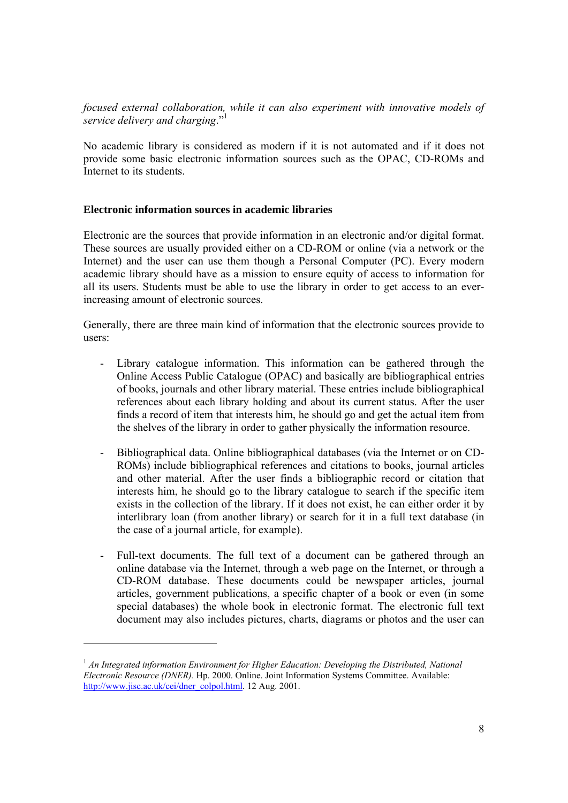*focused external collaboration, while it can also experiment with innovative models of service delivery and charging*."1

No academic library is considered as modern if it is not automated and if it does not provide some basic electronic information sources such as the OPAC, CD-ROMs and Internet to its students.

#### **Electronic information sources in academic libraries**

Electronic are the sources that provide information in an electronic and/or digital format. These sources are usually provided either on a CD-ROM or online (via a network or the Internet) and the user can use them though a Personal Computer (PC). Every modern academic library should have as a mission to ensure equity of access to information for all its users. Students must be able to use the library in order to get access to an everincreasing amount of electronic sources.

Generally, there are three main kind of information that the electronic sources provide to users:

- Library catalogue information. This information can be gathered through the Online Access Public Catalogue (OPAC) and basically are bibliographical entries of books, journals and other library material. These entries include bibliographical references about each library holding and about its current status. After the user finds a record of item that interests him, he should go and get the actual item from the shelves of the library in order to gather physically the information resource.
- Bibliographical data. Online bibliographical databases (via the Internet or on CD-ROMs) include bibliographical references and citations to books, journal articles and other material. After the user finds a bibliographic record or citation that interests him, he should go to the library catalogue to search if the specific item exists in the collection of the library. If it does not exist, he can either order it by interlibrary loan (from another library) or search for it in a full text database (in the case of a journal article, for example).
- Full-text documents. The full text of a document can be gathered through an online database via the Internet, through a web page on the Internet, or through a CD-ROM database. These documents could be newspaper articles, journal articles, government publications, a specific chapter of a book or even (in some special databases) the whole book in electronic format. The electronic full text document may also includes pictures, charts, diagrams or photos and the user can

<sup>&</sup>lt;sup>1</sup> An Integrated information Environment for Higher Education: Developing the Distributed, National *Electronic Resource (DNER).* Hp. 2000. Online. Joint Information Systems Committee. Available: http://www.jisc.ac.uk/cei/dner\_colpol.html. 12 Aug. 2001.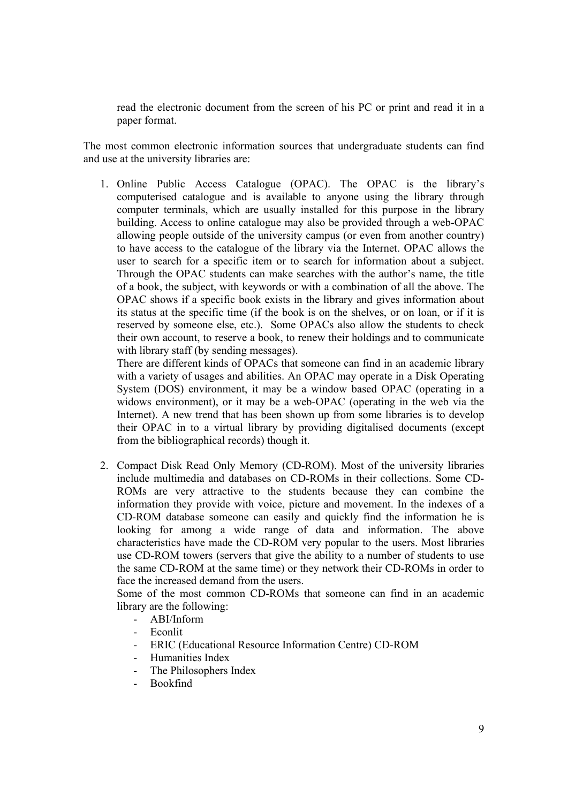read the electronic document from the screen of his PC or print and read it in a paper format.

The most common electronic information sources that undergraduate students can find and use at the university libraries are:

1. Online Public Access Catalogue (OPAC). The OPAC is the library's computerised catalogue and is available to anyone using the library through computer terminals, which are usually installed for this purpose in the library building. Access to online catalogue may also be provided through a web-OPAC allowing people outside of the university campus (or even from another country) to have access to the catalogue of the library via the Internet. OPAC allows the user to search for a specific item or to search for information about a subject. Through the OPAC students can make searches with the author's name, the title of a book, the subject, with keywords or with a combination of all the above. The OPAC shows if a specific book exists in the library and gives information about its status at the specific time (if the book is on the shelves, or on loan, or if it is reserved by someone else, etc.). Some OPACs also allow the students to check their own account, to reserve a book, to renew their holdings and to communicate with library staff (by sending messages).

There are different kinds of OPACs that someone can find in an academic library with a variety of usages and abilities. An OPAC may operate in a Disk Operating System (DOS) environment, it may be a window based OPAC (operating in a widows environment), or it may be a web-OPAC (operating in the web via the Internet). A new trend that has been shown up from some libraries is to develop their OPAC in to a virtual library by providing digitalised documents (except from the bibliographical records) though it.

2. Compact Disk Read Only Memory (CD-ROM). Most of the university libraries include multimedia and databases on CD-ROMs in their collections. Some CD-ROMs are very attractive to the students because they can combine the information they provide with voice, picture and movement. In the indexes of a CD-ROM database someone can easily and quickly find the information he is looking for among a wide range of data and information. The above characteristics have made the CD-ROM very popular to the users. Most libraries use CD-ROM towers (servers that give the ability to a number of students to use the same CD-ROM at the same time) or they network their CD-ROMs in order to face the increased demand from the users.

Some of the most common CD-ROMs that someone can find in an academic library are the following:

- ABI/Inform
- Econlit
- ERIC (Educational Resource Information Centre) CD-ROM
- Humanities Index
- The Philosophers Index
- Bookfind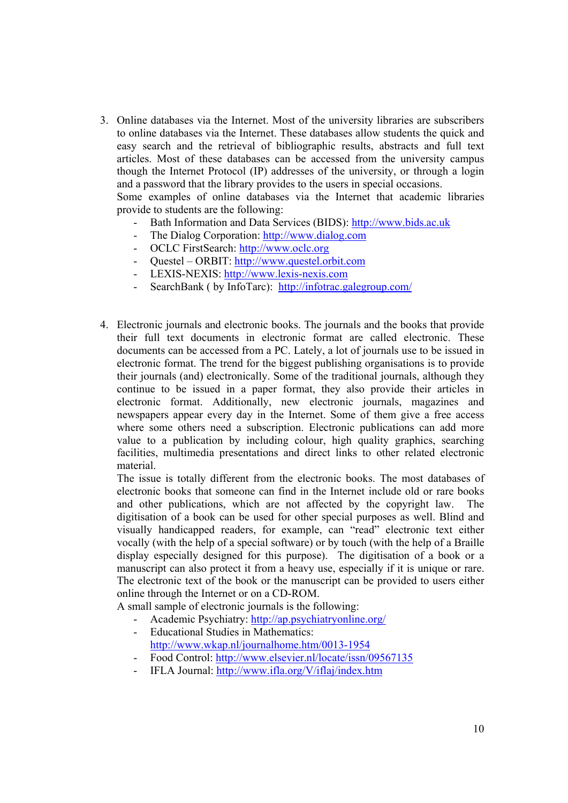3. Online databases via the Internet. Most of the university libraries are subscribers to online databases via the Internet. These databases allow students the quick and easy search and the retrieval of bibliographic results, abstracts and full text articles. Most of these databases can be accessed from the university campus though the Internet Protocol (IP) addresses of the university, or through a login and a password that the library provides to the users in special occasions.

Some examples of online databases via the Internet that academic libraries provide to students are the following:

- Bath Information and Data Services (BIDS): http://www.bids.ac.uk
- The Dialog Corporation: http://www.dialog.com
- OCLC FirstSearch: http://www.oclc.org
- Questel ORBIT: http://www.questel.orbit.com
- LEXIS-NEXIS: http://www.lexis-nexis.com
- SearchBank ( by InfoTarc): http://infotrac.galegroup.com/
- 4. Electronic journals and electronic books. The journals and the books that provide their full text documents in electronic format are called electronic. These documents can be accessed from a PC. Lately, a lot of journals use to be issued in electronic format. The trend for the biggest publishing organisations is to provide their journals (and) electronically. Some of the traditional journals, although they continue to be issued in a paper format, they also provide their articles in electronic format. Additionally, new electronic journals, magazines and newspapers appear every day in the Internet. Some of them give a free access where some others need a subscription. Electronic publications can add more value to a publication by including colour, high quality graphics, searching facilities, multimedia presentations and direct links to other related electronic material.

The issue is totally different from the electronic books. The most databases of electronic books that someone can find in the Internet include old or rare books and other publications, which are not affected by the copyright law. The digitisation of a book can be used for other special purposes as well. Blind and visually handicapped readers, for example, can "read" electronic text either vocally (with the help of a special software) or by touch (with the help of a Braille display especially designed for this purpose). The digitisation of a book or a manuscript can also protect it from a heavy use, especially if it is unique or rare. The electronic text of the book or the manuscript can be provided to users either online through the Internet or on a CD-ROM.

A small sample of electronic journals is the following:

- Academic Psychiatry: http://ap.psychiatryonline.org/
- Educational Studies in Mathematics: http://www.wkap.nl/journalhome.htm/0013-1954
- Food Control: http://www.elsevier.nl/locate/issn/09567135
- IFLA Journal: http://www.ifla.org/V/iflaj/index.htm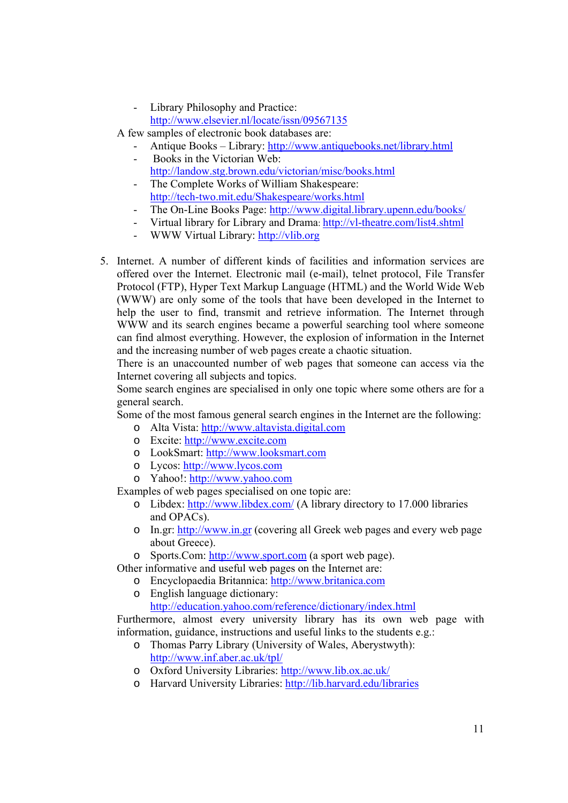- Library Philosophy and Practice: http://www.elsevier.nl/locate/issn/09567135
- A few samples of electronic book databases are:
	- Antique Books Library: http://www.antiquebooks.net/library.html
	- Books in the Victorian Web: http://landow.stg.brown.edu/victorian/misc/books.html
	- The Complete Works of William Shakespeare: http://tech-two.mit.edu/Shakespeare/works.html
	- The On-Line Books Page: http://www.digital.library.upenn.edu/books/
	- Virtual library for Library and Drama: http://vl-theatre.com/list4.shtml
	- WWW Virtual Library: http://vlib.org
- 5. Internet. A number of different kinds of facilities and information services are offered over the Internet. Electronic mail (e-mail), telnet protocol, File Transfer Protocol (FTP), Hyper Text Markup Language (HTML) and the World Wide Web (WWW) are only some of the tools that have been developed in the Internet to help the user to find, transmit and retrieve information. The Internet through WWW and its search engines became a powerful searching tool where someone can find almost everything. However, the explosion of information in the Internet and the increasing number of web pages create a chaotic situation.

There is an unaccounted number of web pages that someone can access via the Internet covering all subjects and topics.

Some search engines are specialised in only one topic where some others are for a general search.

Some of the most famous general search engines in the Internet are the following:

- o Alta Vista: http://www.altavista.digital.com
- o Excite: http://www.excite.com
- o LookSmart: http://www.looksmart.com
- o Lycos: http://www.lycos.com
- o Yahoo!: http://www.yahoo.com

Examples of web pages specialised on one topic are:

- o Libdex: http://www.libdex.com/ (A library directory to 17.000 libraries and OPACs).
- o In.gr: http://www.in.gr (covering all Greek web pages and every web page about Greece).
- o Sports.Com: http://www.sport.com (a sport web page).

Other informative and useful web pages on the Internet are:

- o Encyclopaedia Britannica: http://www.britanica.com
- o English language dictionary:

http://education.yahoo.com/reference/dictionary/index.html

Furthermore, almost every university library has its own web page with information, guidance, instructions and useful links to the students e.g.:

- o Thomas Parry Library (University of Wales, Aberystwyth): http://www.inf.aber.ac.uk/tpl/
- o Oxford University Libraries: http://www.lib.ox.ac.uk/
- o Harvard University Libraries: http://lib.harvard.edu/libraries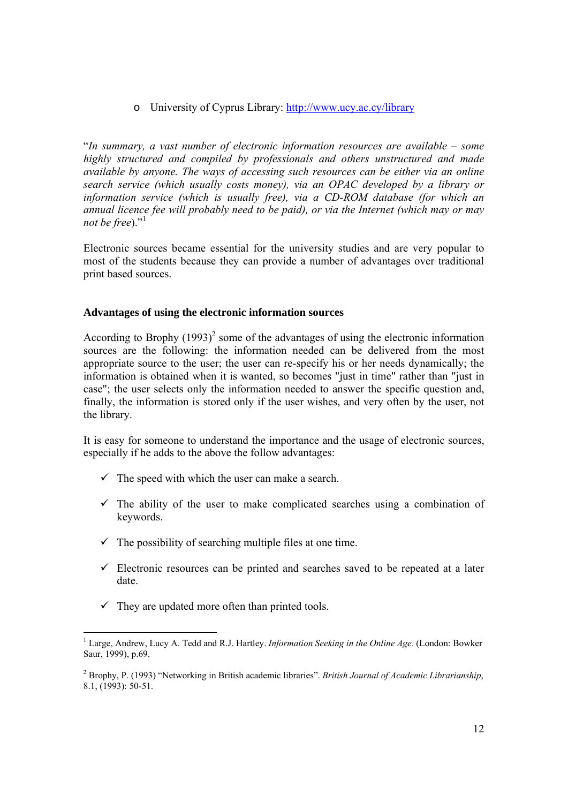o University of Cyprus Library: http://www.ucy.ac.cy/library

"*In summary, a vast number of electronic information resources are available – some highly structured and compiled by professionals and others unstructured and made available by anyone. The ways of accessing such resources can be either via an online search service (which usually costs money), via an OPAC developed by a library or information service (which is usually free), via a CD-ROM database (for which an annual licence fee will probably need to be paid), or via the Internet (which may or may not be free*)."<sup>1</sup>

Electronic sources became essential for the university studies and are very popular to most of the students because they can provide a number of advantages over traditional print based sources.

#### **Advantages of using the electronic information sources**

According to Brophy  $(1993)^2$  some of the advantages of using the electronic information sources are the following: the information needed can be delivered from the most appropriate source to the user; the user can re-specify his or her needs dynamically; the information is obtained when it is wanted, so becomes "just in time" rather than "just in case"; the user selects only the information needed to answer the specific question and, finally, the information is stored only if the user wishes, and very often by the user, not the library.

It is easy for someone to understand the importance and the usage of electronic sources, especially if he adds to the above the follow advantages:

- $\checkmark$  The speed with which the user can make a search.
- $\checkmark$  The ability of the user to make complicated searches using a combination of keywords.
- $\checkmark$  The possibility of searching multiple files at one time.
- $\checkmark$  Electronic resources can be printed and searches saved to be repeated at a later date.
- $\checkmark$  They are updated more often than printed tools.

 <sup>1</sup> Large, Andrew, Lucy A. Tedd and R.J. Hartley. *Information Seeking in the Online Age*. (London: Bowker Saur, 1999), p.69.

<sup>2</sup> Brophy, P. (1993) "Networking in British academic libraries". *British Journal of Academic Librarianship*, 8.1, (1993): 50-51.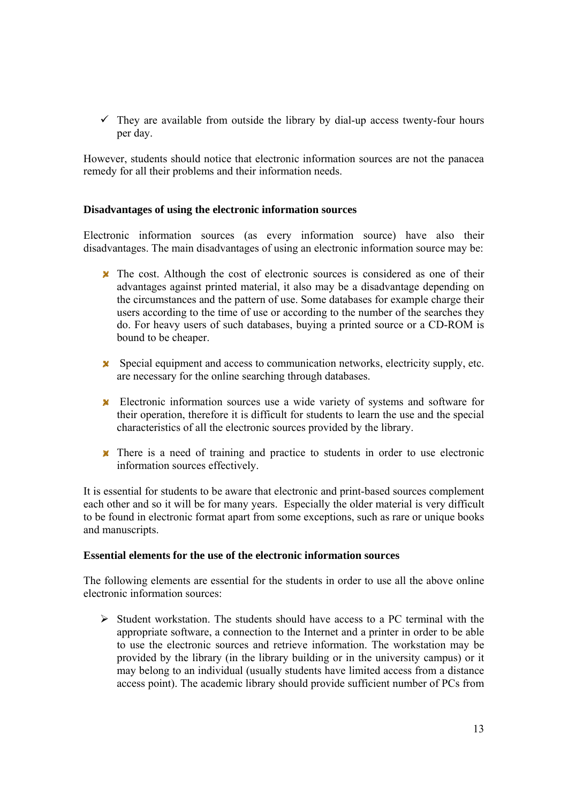$\checkmark$  They are available from outside the library by dial-up access twenty-four hours per day.

However, students should notice that electronic information sources are not the panacea remedy for all their problems and their information needs.

#### **Disadvantages of using the electronic information sources**

Electronic information sources (as every information source) have also their disadvantages. The main disadvantages of using an electronic information source may be:

- $\boldsymbol{\times}$  The cost. Although the cost of electronic sources is considered as one of their advantages against printed material, it also may be a disadvantage depending on the circumstances and the pattern of use. Some databases for example charge their users according to the time of use or according to the number of the searches they do. For heavy users of such databases, buying a printed source or a CD-ROM is bound to be cheaper.
- $\boldsymbol{\ast}$  Special equipment and access to communication networks, electricity supply, etc. are necessary for the online searching through databases.
- Electronic information sources use a wide variety of systems and software for their operation, therefore it is difficult for students to learn the use and the special characteristics of all the electronic sources provided by the library.
- There is a need of training and practice to students in order to use electronic information sources effectively.

It is essential for students to be aware that electronic and print-based sources complement each other and so it will be for many years. Especially the older material is very difficult to be found in electronic format apart from some exceptions, such as rare or unique books and manuscripts.

#### **Essential elements for the use of the electronic information sources**

The following elements are essential for the students in order to use all the above online electronic information sources:

 $\triangleright$  Student workstation. The students should have access to a PC terminal with the appropriate software, a connection to the Internet and a printer in order to be able to use the electronic sources and retrieve information. The workstation may be provided by the library (in the library building or in the university campus) or it may belong to an individual (usually students have limited access from a distance access point). The academic library should provide sufficient number of PCs from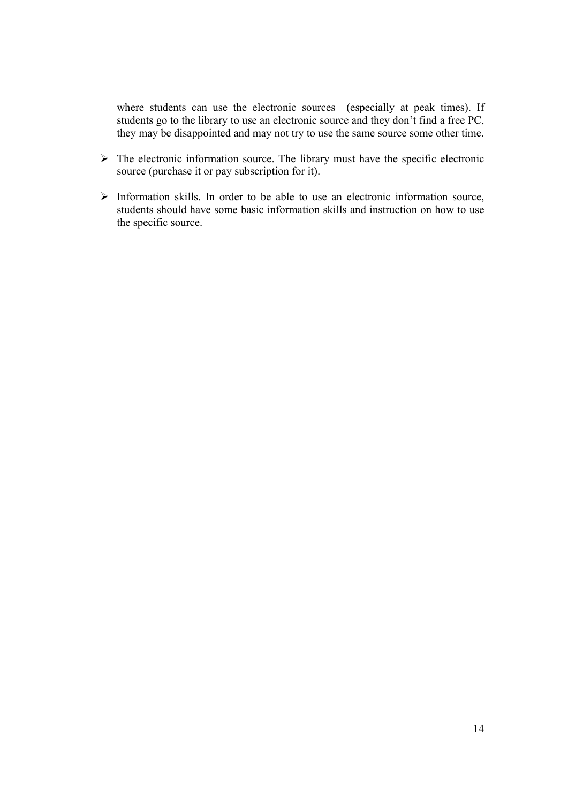where students can use the electronic sources (especially at peak times). If students go to the library to use an electronic source and they don't find a free PC, they may be disappointed and may not try to use the same source some other time.

- $\triangleright$  The electronic information source. The library must have the specific electronic source (purchase it or pay subscription for it).
- $\triangleright$  Information skills. In order to be able to use an electronic information source, students should have some basic information skills and instruction on how to use the specific source.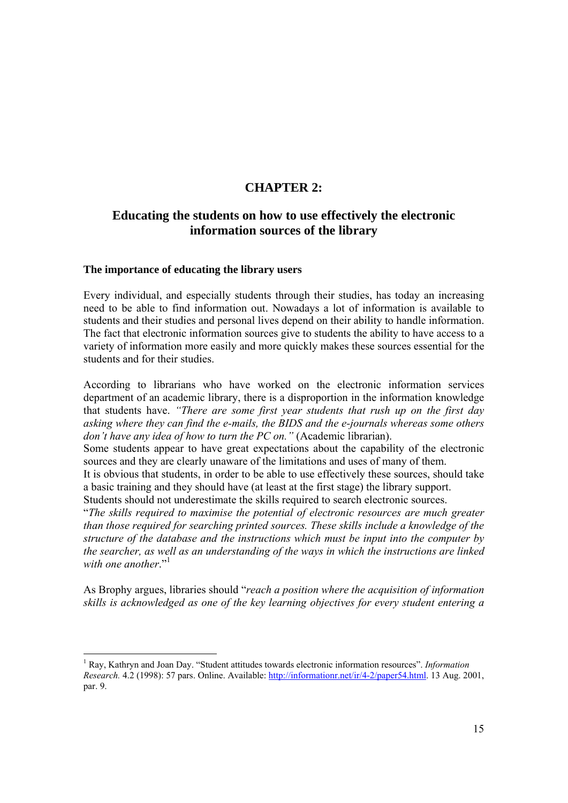# **CHAPTER 2:**

# **Educating the students on how to use effectively the electronic information sources of the library**

#### **The importance of educating the library users**

Every individual, and especially students through their studies, has today an increasing need to be able to find information out. Nowadays a lot of information is available to students and their studies and personal lives depend on their ability to handle information. The fact that electronic information sources give to students the ability to have access to a variety of information more easily and more quickly makes these sources essential for the students and for their studies.

According to librarians who have worked on the electronic information services department of an academic library, there is a disproportion in the information knowledge that students have. *"There are some first year students that rush up on the first day asking where they can find the e-mails, the BIDS and the e-journals whereas some others don't have any idea of how to turn the PC on."* (Academic librarian).

Some students appear to have great expectations about the capability of the electronic sources and they are clearly unaware of the limitations and uses of many of them.

It is obvious that students, in order to be able to use effectively these sources, should take a basic training and they should have (at least at the first stage) the library support.

Students should not underestimate the skills required to search electronic sources.

"*The skills required to maximise the potential of electronic resources are much greater than those required for searching printed sources. These skills include a knowledge of the structure of the database and the instructions which must be input into the computer by the searcher, as well as an understanding of the ways in which the instructions are linked*  with one another."<sup>1</sup>

As Brophy argues, libraries should "*reach a position where the acquisition of information skills is acknowledged as one of the key learning objectives for every student entering a* 

<sup>&</sup>lt;sup>1</sup> Ray, Kathryn and Joan Day. "Student attitudes towards electronic information resources". *Information Research.* 4.2 (1998): 57 pars. Online. Available: http://informationr.net/ir/4-2/paper54.html. 13 Aug. 2001, par. 9.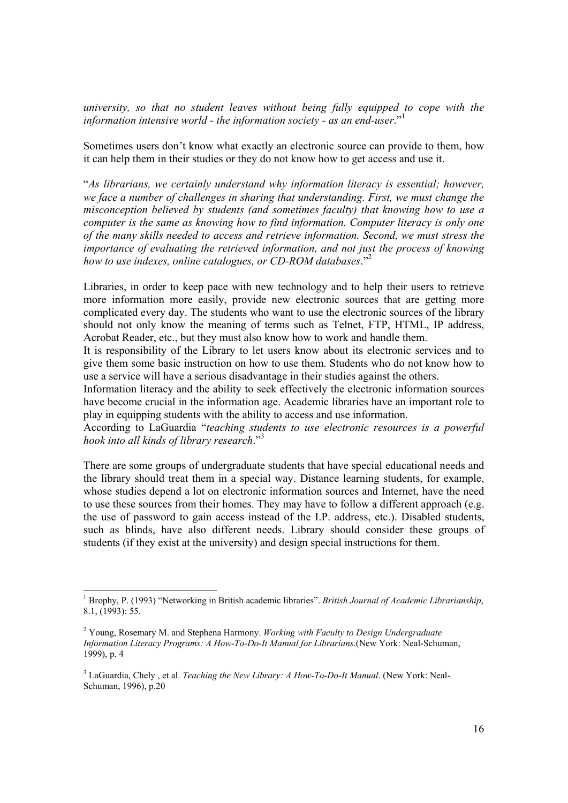*university, so that no student leaves without being fully equipped to cope with the information intensive world - the information society - as an end-user*."1

Sometimes users don't know what exactly an electronic source can provide to them, how it can help them in their studies or they do not know how to get access and use it.

"*As librarians, we certainly understand why information literacy is essential; however, we face a number of challenges in sharing that understanding. First, we must change the misconception believed by students (and sometimes faculty) that knowing how to use a computer is the same as knowing how to find information. Computer literacy is only one of the many skills needed to access and retrieve information. Second, we must stress the importance of evaluating the retrieved information, and not just the process of knowing how to use indexes, online catalogues, or CD-ROM databases*."2

Libraries, in order to keep pace with new technology and to help their users to retrieve more information more easily, provide new electronic sources that are getting more complicated every day. The students who want to use the electronic sources of the library should not only know the meaning of terms such as Telnet, FTP, HTML, IP address, Acrobat Reader, etc., but they must also know how to work and handle them.

It is responsibility of the Library to let users know about its electronic services and to give them some basic instruction on how to use them. Students who do not know how to use a service will have a serious disadvantage in their studies against the others.

Information literacy and the ability to seek effectively the electronic information sources have become crucial in the information age. Academic libraries have an important role to play in equipping students with the ability to access and use information.

According to LaGuardia "*teaching students to use electronic resources is a powerful hook into all kinds of library research*."3

There are some groups of undergraduate students that have special educational needs and the library should treat them in a special way. Distance learning students, for example, whose studies depend a lot on electronic information sources and Internet, have the need to use these sources from their homes. They may have to follow a different approach (e.g. the use of password to gain access instead of the I.P. address, etc.). Disabled students, such as blinds, have also different needs. Library should consider these groups of students (if they exist at the university) and design special instructions for them.

<sup>&</sup>lt;sup>1</sup> Brophy, P. (1993) "Networking in British academic libraries". *British Journal of Academic Librarianship*, 8.1, (1993): 55.

<sup>2</sup> Young, Rosemary M. and Stephena Harmony. *Working with Faculty to Design Undergraduate Information Literacy Programs: A How-To-Do-It Manual for Librarians*.(New York: Neal-Schuman, 1999), p. 4

<sup>3</sup> LaGuardia, Chely , et al. *Teaching the New Library: A How-To-Do-It Manual*. (New York: Neal-Schuman, 1996), p.20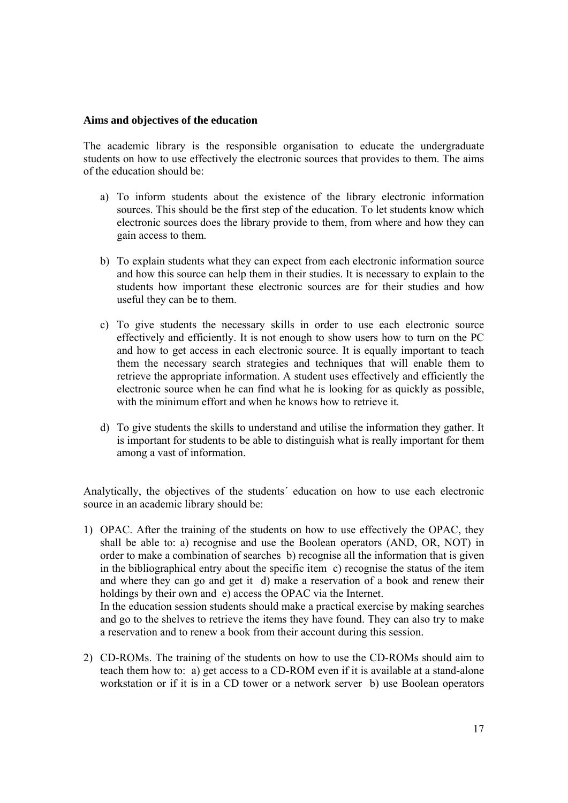#### **Aims and objectives of the education**

The academic library is the responsible organisation to educate the undergraduate students on how to use effectively the electronic sources that provides to them. The aims of the education should be:

- a) To inform students about the existence of the library electronic information sources. This should be the first step of the education. To let students know which electronic sources does the library provide to them, from where and how they can gain access to them.
- b) To explain students what they can expect from each electronic information source and how this source can help them in their studies. It is necessary to explain to the students how important these electronic sources are for their studies and how useful they can be to them.
- c) To give students the necessary skills in order to use each electronic source effectively and efficiently. It is not enough to show users how to turn on the PC and how to get access in each electronic source. It is equally important to teach them the necessary search strategies and techniques that will enable them to retrieve the appropriate information. A student uses effectively and efficiently the electronic source when he can find what he is looking for as quickly as possible, with the minimum effort and when he knows how to retrieve it.
- d) To give students the skills to understand and utilise the information they gather. It is important for students to be able to distinguish what is really important for them among a vast of information.

Analytically, the objectives of the students´ education on how to use each electronic source in an academic library should be:

- 1) OPAC. After the training of the students on how to use effectively the OPAC, they shall be able to: a) recognise and use the Boolean operators (AND, OR, NOT) in order to make a combination of searches b) recognise all the information that is given in the bibliographical entry about the specific item c) recognise the status of the item and where they can go and get it d) make a reservation of a book and renew their holdings by their own and e) access the OPAC via the Internet. In the education session students should make a practical exercise by making searches and go to the shelves to retrieve the items they have found. They can also try to make
- 2) CD-ROMs. The training of the students on how to use the CD-ROMs should aim to teach them how to: a) get access to a CD-ROM even if it is available at a stand-alone workstation or if it is in a CD tower or a network server b) use Boolean operators

a reservation and to renew a book from their account during this session.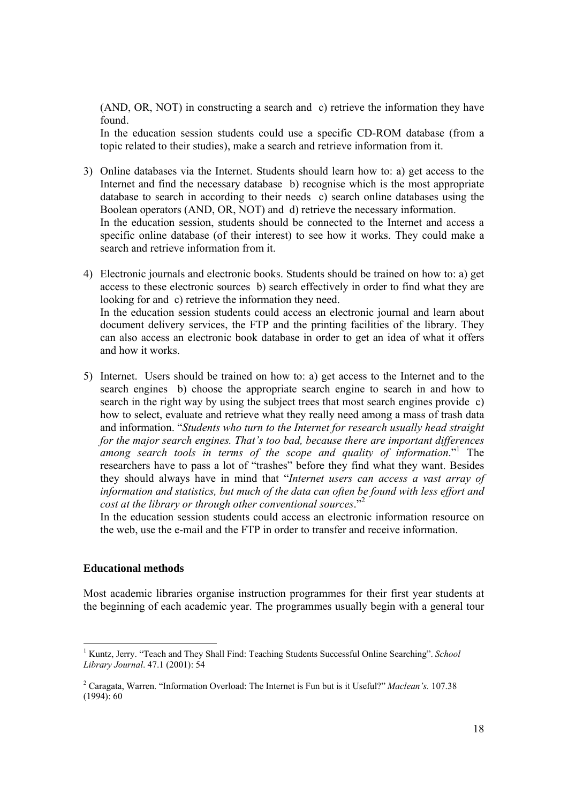(AND, OR, NOT) in constructing a search and c) retrieve the information they have found.

In the education session students could use a specific CD-ROM database (from a topic related to their studies), make a search and retrieve information from it.

- 3) Online databases via the Internet. Students should learn how to: a) get access to the Internet and find the necessary database b) recognise which is the most appropriate database to search in according to their needs c) search online databases using the Boolean operators (AND, OR, NOT) and d) retrieve the necessary information. In the education session, students should be connected to the Internet and access a specific online database (of their interest) to see how it works. They could make a search and retrieve information from it.
- 4) Electronic journals and electronic books. Students should be trained on how to: a) get access to these electronic sources b) search effectively in order to find what they are looking for and c) retrieve the information they need. In the education session students could access an electronic journal and learn about document delivery services, the FTP and the printing facilities of the library. They can also access an electronic book database in order to get an idea of what it offers and how it works.
- 5) Internet. Users should be trained on how to: a) get access to the Internet and to the search engines b) choose the appropriate search engine to search in and how to search in the right way by using the subject trees that most search engines provide c) how to select, evaluate and retrieve what they really need among a mass of trash data and information. "*Students who turn to the Internet for research usually head straight for the major search engines. That's too bad, because there are important differences*  among search tools in terms of the scope and quality of information."<sup>1</sup> The researchers have to pass a lot of "trashes" before they find what they want. Besides they should always have in mind that "*Internet users can access a vast array of information and statistics, but much of the data can often be found with less effort and cost at the library or through other conventional sources*."2

In the education session students could access an electronic information resource on the web, use the e-mail and the FTP in order to transfer and receive information.

#### **Educational methods**

Most academic libraries organise instruction programmes for their first year students at the beginning of each academic year. The programmes usually begin with a general tour

<sup>&</sup>lt;sup>1</sup> Kuntz, Jerry. "Teach and They Shall Find: Teaching Students Successful Online Searching". *School Library Journal*. 47.1 (2001): 54

<sup>2</sup> Caragata, Warren. "Information Overload: The Internet is Fun but is it Useful?" *Maclean's.* 107.38  $(1994): 60$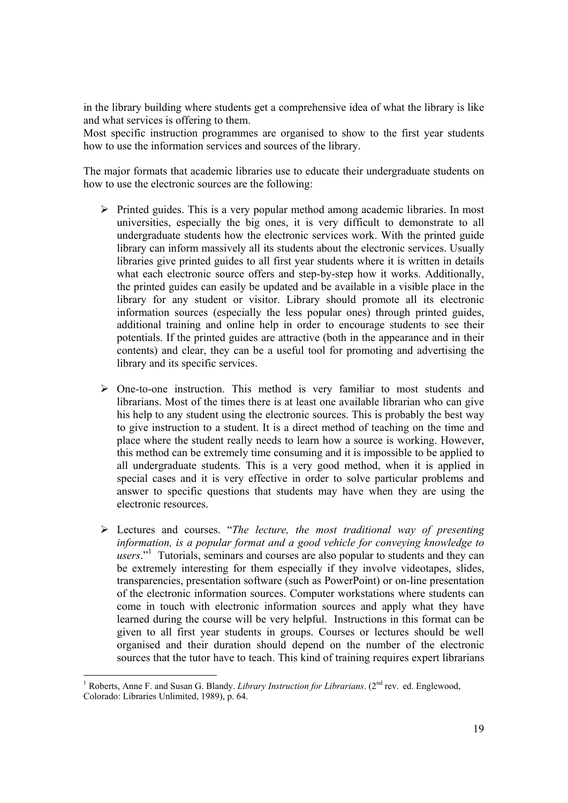in the library building where students get a comprehensive idea of what the library is like and what services is offering to them.

Most specific instruction programmes are organised to show to the first year students how to use the information services and sources of the library.

The major formats that academic libraries use to educate their undergraduate students on how to use the electronic sources are the following:

- $\triangleright$  Printed guides. This is a very popular method among academic libraries. In most universities, especially the big ones, it is very difficult to demonstrate to all undergraduate students how the electronic services work. With the printed guide library can inform massively all its students about the electronic services. Usually libraries give printed guides to all first year students where it is written in details what each electronic source offers and step-by-step how it works. Additionally, the printed guides can easily be updated and be available in a visible place in the library for any student or visitor. Library should promote all its electronic information sources (especially the less popular ones) through printed guides, additional training and online help in order to encourage students to see their potentials. If the printed guides are attractive (both in the appearance and in their contents) and clear, they can be a useful tool for promoting and advertising the library and its specific services.
- $\triangleright$  One-to-one instruction. This method is very familiar to most students and librarians. Most of the times there is at least one available librarian who can give his help to any student using the electronic sources. This is probably the best way to give instruction to a student. It is a direct method of teaching on the time and place where the student really needs to learn how a source is working. However, this method can be extremely time consuming and it is impossible to be applied to all undergraduate students. This is a very good method, when it is applied in special cases and it is very effective in order to solve particular problems and answer to specific questions that students may have when they are using the electronic resources.
- ¾ Lectures and courses. "*The lecture, the most traditional way of presenting information, is a popular format and a good vehicle for conveying knowledge to*  users."<sup>1</sup> Tutorials, seminars and courses are also popular to students and they can be extremely interesting for them especially if they involve videotapes, slides, transparencies, presentation software (such as PowerPoint) or on-line presentation of the electronic information sources. Computer workstations where students can come in touch with electronic information sources and apply what they have learned during the course will be very helpful. Instructions in this format can be given to all first year students in groups. Courses or lectures should be well organised and their duration should depend on the number of the electronic sources that the tutor have to teach. This kind of training requires expert librarians

<sup>&</sup>lt;sup>1</sup> Roberts, Anne F. and Susan G. Blandy. *Library Instruction for Librarians*. ( $2<sup>nd</sup>$  rev. ed. Englewood, Colorado: Libraries Unlimited, 1989), p. 64.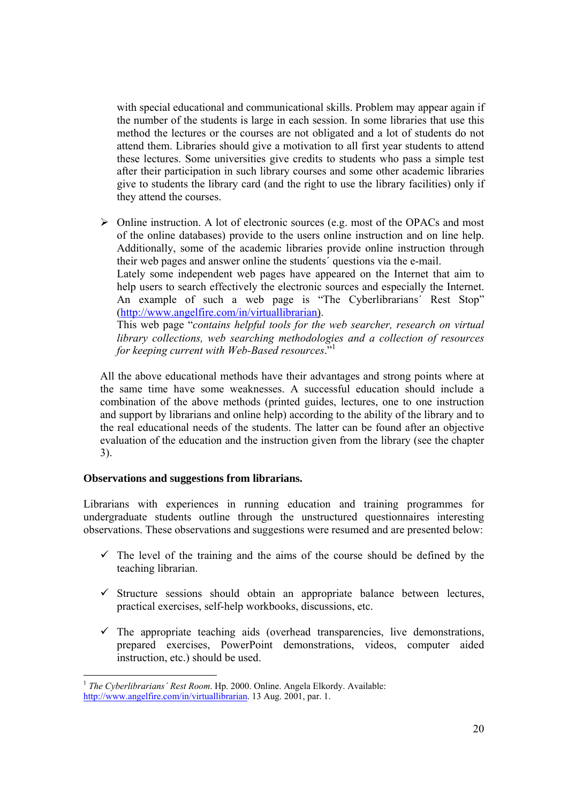with special educational and communicational skills. Problem may appear again if the number of the students is large in each session. In some libraries that use this method the lectures or the courses are not obligated and a lot of students do not attend them. Libraries should give a motivation to all first year students to attend these lectures. Some universities give credits to students who pass a simple test after their participation in such library courses and some other academic libraries give to students the library card (and the right to use the library facilities) only if they attend the courses.

 $\triangleright$  Online instruction. A lot of electronic sources (e.g. most of the OPACs and most of the online databases) provide to the users online instruction and on line help. Additionally, some of the academic libraries provide online instruction through their web pages and answer online the students´ questions via the e-mail.

Lately some independent web pages have appeared on the Internet that aim to help users to search effectively the electronic sources and especially the Internet. An example of such a web page is "The Cyberlibrarians' Rest Stop" (http://www.angelfire.com/in/virtuallibrarian).

This web page "*contains helpful tools for the web searcher, research on virtual library collections, web searching methodologies and a collection of resources for keeping current with Web-Based resources*."1

All the above educational methods have their advantages and strong points where at the same time have some weaknesses. A successful education should include a combination of the above methods (printed guides, lectures, one to one instruction and support by librarians and online help) according to the ability of the library and to the real educational needs of the students. The latter can be found after an objective evaluation of the education and the instruction given from the library (see the chapter 3).

#### **Observations and suggestions from librarians.**

Librarians with experiences in running education and training programmes for undergraduate students outline through the unstructured questionnaires interesting observations. These observations and suggestions were resumed and are presented below:

- $\checkmark$  The level of the training and the aims of the course should be defined by the teaching librarian.
- $\checkmark$  Structure sessions should obtain an appropriate balance between lectures, practical exercises, self-help workbooks, discussions, etc.
- $\checkmark$  The appropriate teaching aids (overhead transparencies, live demonstrations, prepared exercises, PowerPoint demonstrations, videos, computer aided instruction, etc.) should be used.

<sup>&</sup>lt;sup>1</sup> *The Cyberlibrarians' Rest Room.* Hp. 2000. Online. Angela Elkordy. Available: http://www.angelfire.com/in/virtuallibrarian. 13 Aug. 2001, par. 1.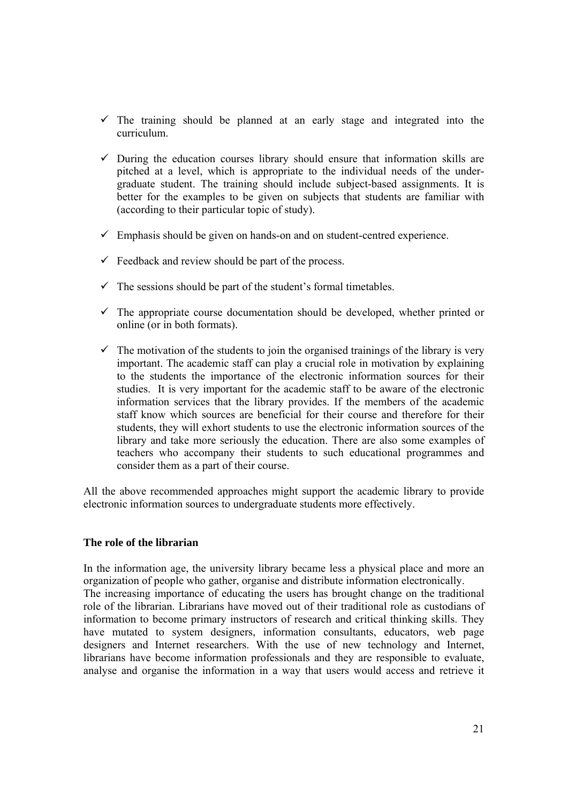- $\checkmark$  The training should be planned at an early stage and integrated into the curriculum.
- $\checkmark$  During the education courses library should ensure that information skills are pitched at a level, which is appropriate to the individual needs of the undergraduate student. The training should include subject-based assignments. It is better for the examples to be given on subjects that students are familiar with (according to their particular topic of study).
- $\checkmark$  Emphasis should be given on hands-on and on student-centred experience.
- $\checkmark$  Feedback and review should be part of the process.
- $\checkmark$  The sessions should be part of the student's formal timetables.
- $\checkmark$  The appropriate course documentation should be developed, whether printed or online (or in both formats).
- $\checkmark$  The motivation of the students to join the organised trainings of the library is very important. The academic staff can play a crucial role in motivation by explaining to the students the importance of the electronic information sources for their studies. It is very important for the academic staff to be aware of the electronic information services that the library provides. If the members of the academic staff know which sources are beneficial for their course and therefore for their students, they will exhort students to use the electronic information sources of the library and take more seriously the education. There are also some examples of teachers who accompany their students to such educational programmes and consider them as a part of their course.

All the above recommended approaches might support the academic library to provide electronic information sources to undergraduate students more effectively.

#### **The role of the librarian**

In the information age, the university library became less a physical place and more an organization of people who gather, organise and distribute information electronically. The increasing importance of educating the users has brought change on the traditional role of the librarian. Librarians have moved out of their traditional role as custodians of information to become primary instructors of research and critical thinking skills. They have mutated to system designers, information consultants, educators, web page designers and Internet researchers. With the use of new technology and Internet, librarians have become information professionals and they are responsible to evaluate, analyse and organise the information in a way that users would access and retrieve it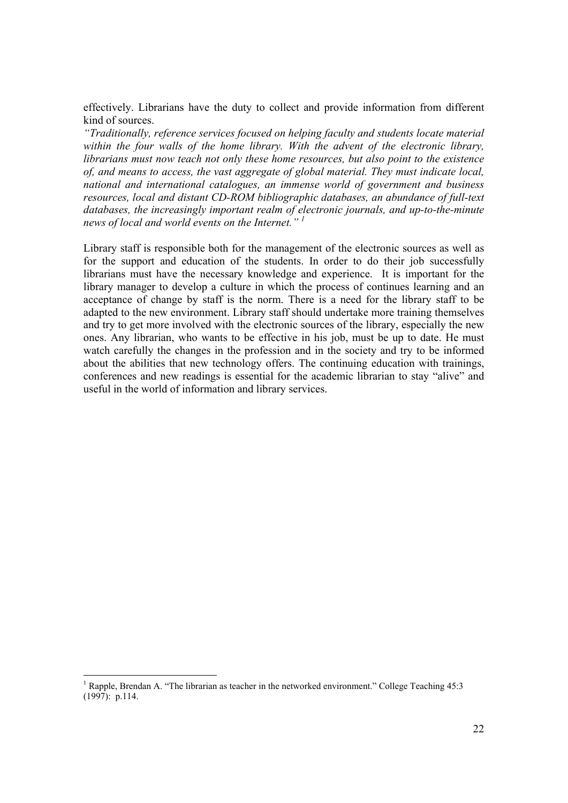effectively. Librarians have the duty to collect and provide information from different kind of sources.

*"Traditionally, reference services focused on helping faculty and students locate material within the four walls of the home library. With the advent of the electronic library, librarians must now teach not only these home resources, but also point to the existence of, and means to access, the vast aggregate of global material. They must indicate local, national and international catalogues, an immense world of government and business resources, local and distant CD-ROM bibliographic databases, an abundance of full-text databases, the increasingly important realm of electronic journals, and up-to-the-minute news of local and world events on the Internet." 1*

Library staff is responsible both for the management of the electronic sources as well as for the support and education of the students. In order to do their job successfully librarians must have the necessary knowledge and experience. It is important for the library manager to develop a culture in which the process of continues learning and an acceptance of change by staff is the norm. There is a need for the library staff to be adapted to the new environment. Library staff should undertake more training themselves and try to get more involved with the electronic sources of the library, especially the new ones. Any librarian, who wants to be effective in his job, must be up to date. He must watch carefully the changes in the profession and in the society and try to be informed about the abilities that new technology offers. The continuing education with trainings, conferences and new readings is essential for the academic librarian to stay "alive" and useful in the world of information and library services.

<sup>&</sup>lt;sup>1</sup> Rapple, Brendan A. "The librarian as teacher in the networked environment." College Teaching 45:3  $(1997)$ : p.114.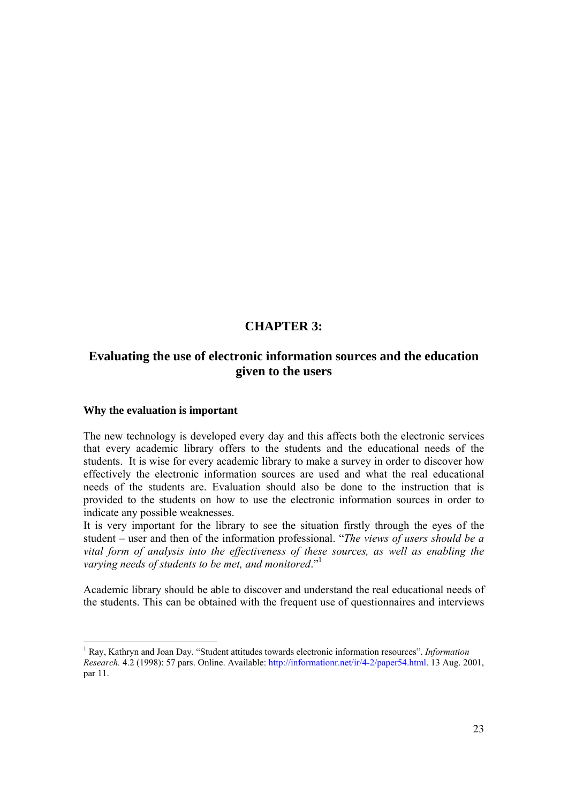### **CHAPTER 3:**

# **Evaluating the use of electronic information sources and the education given to the users**

#### **Why the evaluation is important**

The new technology is developed every day and this affects both the electronic services that every academic library offers to the students and the educational needs of the students. It is wise for every academic library to make a survey in order to discover how effectively the electronic information sources are used and what the real educational needs of the students are. Evaluation should also be done to the instruction that is provided to the students on how to use the electronic information sources in order to indicate any possible weaknesses.

It is very important for the library to see the situation firstly through the eyes of the student – user and then of the information professional. "*The views of users should be a vital form of analysis into the effectiveness of these sources, as well as enabling the varying needs of students to be met, and monitored*."1

Academic library should be able to discover and understand the real educational needs of the students. This can be obtained with the frequent use of questionnaires and interviews

<sup>&</sup>lt;sup>1</sup> Ray, Kathryn and Joan Day. "Student attitudes towards electronic information resources". *Information Research.* 4.2 (1998): 57 pars. Online. Available: http://informationr.net/ir/4-2/paper54.html. 13 Aug. 2001, par 11.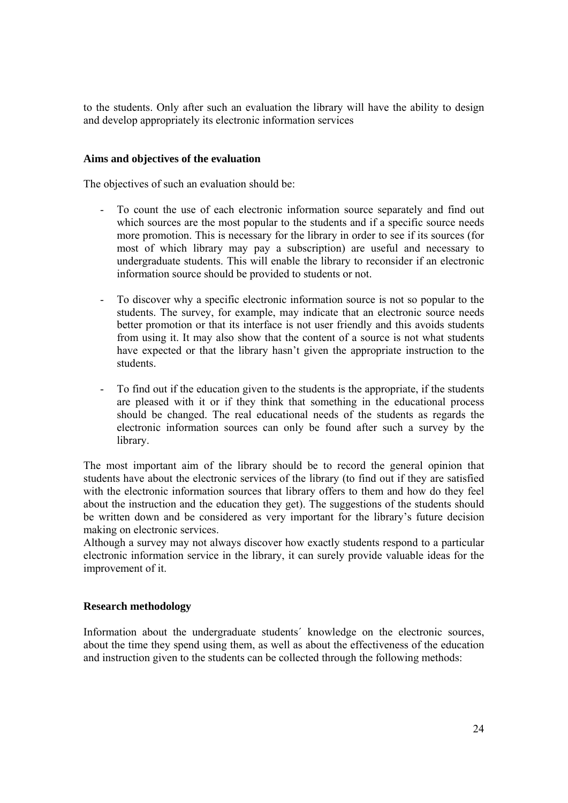to the students. Only after such an evaluation the library will have the ability to design and develop appropriately its electronic information services

#### **Aims and objectives of the evaluation**

The objectives of such an evaluation should be:

- To count the use of each electronic information source separately and find out which sources are the most popular to the students and if a specific source needs more promotion. This is necessary for the library in order to see if its sources (for most of which library may pay a subscription) are useful and necessary to undergraduate students. This will enable the library to reconsider if an electronic information source should be provided to students or not.
- To discover why a specific electronic information source is not so popular to the students. The survey, for example, may indicate that an electronic source needs better promotion or that its interface is not user friendly and this avoids students from using it. It may also show that the content of a source is not what students have expected or that the library hasn't given the appropriate instruction to the students.
- To find out if the education given to the students is the appropriate, if the students are pleased with it or if they think that something in the educational process should be changed. The real educational needs of the students as regards the electronic information sources can only be found after such a survey by the library.

The most important aim of the library should be to record the general opinion that students have about the electronic services of the library (to find out if they are satisfied with the electronic information sources that library offers to them and how do they feel about the instruction and the education they get). The suggestions of the students should be written down and be considered as very important for the library's future decision making on electronic services.

Although a survey may not always discover how exactly students respond to a particular electronic information service in the library, it can surely provide valuable ideas for the improvement of it.

#### **Research methodology**

Information about the undergraduate students´ knowledge on the electronic sources, about the time they spend using them, as well as about the effectiveness of the education and instruction given to the students can be collected through the following methods: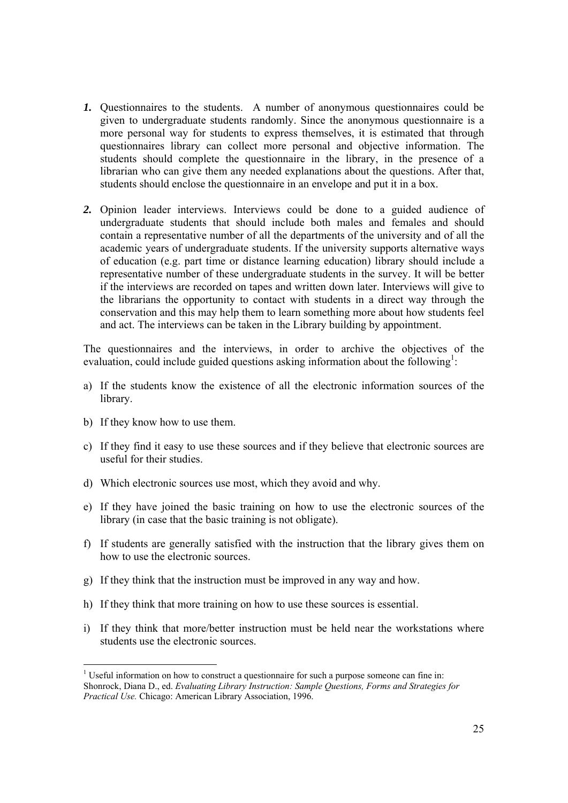- *1.* Questionnaires to the students. A number of anonymous questionnaires could be given to undergraduate students randomly. Since the anonymous questionnaire is a more personal way for students to express themselves, it is estimated that through questionnaires library can collect more personal and objective information. The students should complete the questionnaire in the library, in the presence of a librarian who can give them any needed explanations about the questions. After that, students should enclose the questionnaire in an envelope and put it in a box.
- *2.* Opinion leader interviews. Interviews could be done to a guided audience of undergraduate students that should include both males and females and should contain a representative number of all the departments of the university and of all the academic years of undergraduate students. If the university supports alternative ways of education (e.g. part time or distance learning education) library should include a representative number of these undergraduate students in the survey. It will be better if the interviews are recorded on tapes and written down later. Interviews will give to the librarians the opportunity to contact with students in a direct way through the conservation and this may help them to learn something more about how students feel and act. The interviews can be taken in the Library building by appointment.

The questionnaires and the interviews, in order to archive the objectives of the evaluation, could include guided questions asking information about the following<sup>1</sup>:

- a) If the students know the existence of all the electronic information sources of the library.
- b) If they know how to use them.

- c) If they find it easy to use these sources and if they believe that electronic sources are useful for their studies.
- d) Which electronic sources use most, which they avoid and why.
- e) If they have joined the basic training on how to use the electronic sources of the library (in case that the basic training is not obligate).
- f) If students are generally satisfied with the instruction that the library gives them on how to use the electronic sources.
- g) If they think that the instruction must be improved in any way and how.
- h) If they think that more training on how to use these sources is essential.
- i) If they think that more/better instruction must be held near the workstations where students use the electronic sources.

<sup>&</sup>lt;sup>1</sup> Useful information on how to construct a questionnaire for such a purpose someone can fine in: Shonrock, Diana D., ed. *Evaluating Library Instruction: Sample Questions, Forms and Strategies for Practical Use.* Chicago: American Library Association, 1996.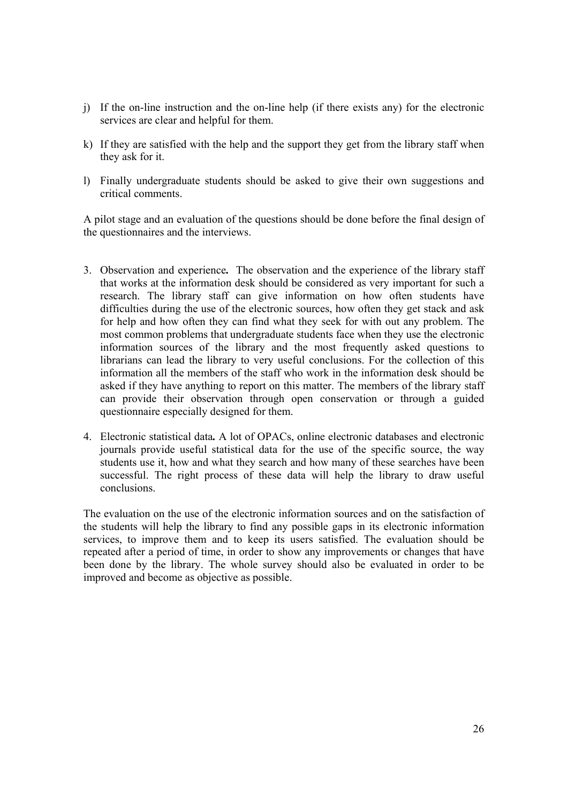- j) If the on-line instruction and the on-line help (if there exists any) for the electronic services are clear and helpful for them.
- k) If they are satisfied with the help and the support they get from the library staff when they ask for it.
- l) Finally undergraduate students should be asked to give their own suggestions and critical comments.

A pilot stage and an evaluation of the questions should be done before the final design of the questionnaires and the interviews.

- 3. Observation and experience*.* The observation and the experience of the library staff that works at the information desk should be considered as very important for such a research. The library staff can give information on how often students have difficulties during the use of the electronic sources, how often they get stack and ask for help and how often they can find what they seek for with out any problem. The most common problems that undergraduate students face when they use the electronic information sources of the library and the most frequently asked questions to librarians can lead the library to very useful conclusions. For the collection of this information all the members of the staff who work in the information desk should be asked if they have anything to report on this matter. The members of the library staff can provide their observation through open conservation or through a guided questionnaire especially designed for them.
- 4. Electronic statistical data*.* A lot of OPACs, online electronic databases and electronic journals provide useful statistical data for the use of the specific source, the way students use it, how and what they search and how many of these searches have been successful. The right process of these data will help the library to draw useful conclusions.

The evaluation on the use of the electronic information sources and on the satisfaction of the students will help the library to find any possible gaps in its electronic information services, to improve them and to keep its users satisfied. The evaluation should be repeated after a period of time, in order to show any improvements or changes that have been done by the library. The whole survey should also be evaluated in order to be improved and become as objective as possible.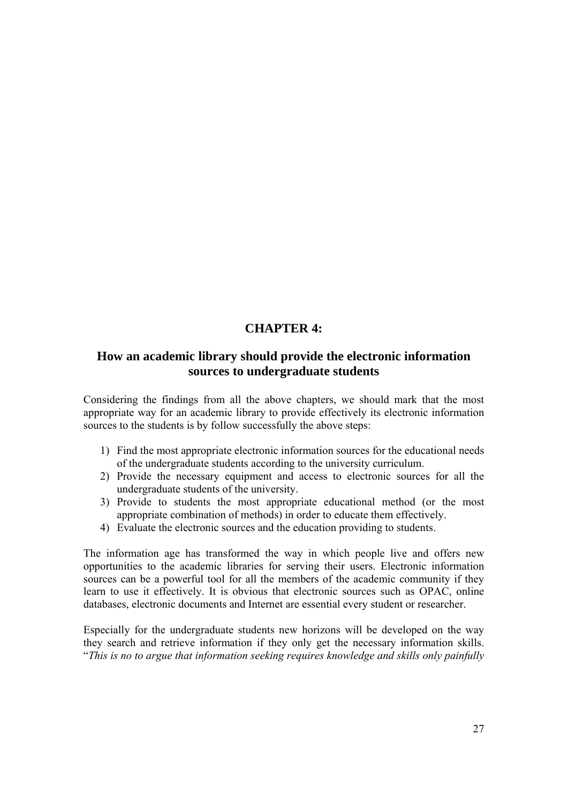# **CHAPTER 4:**

# **How an academic library should provide the electronic information sources to undergraduate students**

Considering the findings from all the above chapters, we should mark that the most appropriate way for an academic library to provide effectively its electronic information sources to the students is by follow successfully the above steps:

- 1) Find the most appropriate electronic information sources for the educational needs of the undergraduate students according to the university curriculum.
- 2) Provide the necessary equipment and access to electronic sources for all the undergraduate students of the university.
- 3) Provide to students the most appropriate educational method (or the most appropriate combination of methods) in order to educate them effectively.
- 4) Evaluate the electronic sources and the education providing to students.

The information age has transformed the way in which people live and offers new opportunities to the academic libraries for serving their users. Electronic information sources can be a powerful tool for all the members of the academic community if they learn to use it effectively. It is obvious that electronic sources such as OPAC, online databases, electronic documents and Internet are essential every student or researcher.

Especially for the undergraduate students new horizons will be developed on the way they search and retrieve information if they only get the necessary information skills. "*This is no to argue that information seeking requires knowledge and skills only painfully*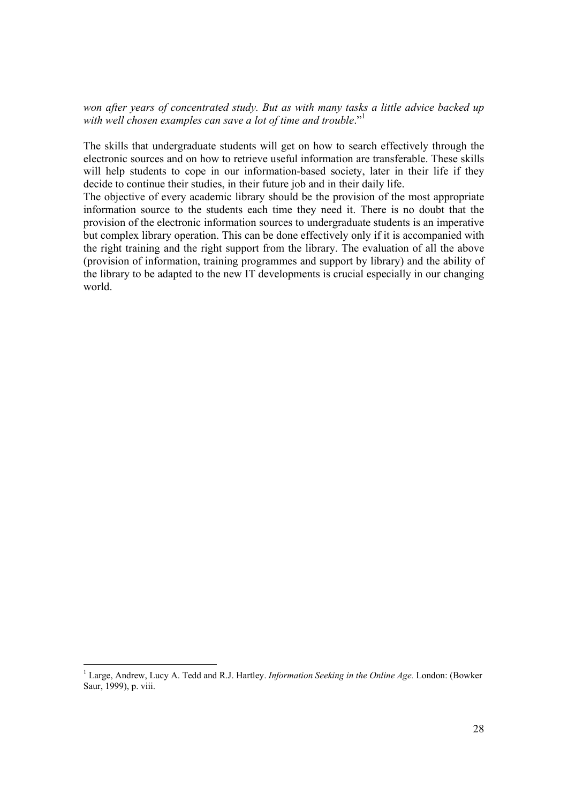*won after years of concentrated study. But as with many tasks a little advice backed up*  with well chosen examples can save a lot of time and trouble."<sup>1</sup>

The skills that undergraduate students will get on how to search effectively through the electronic sources and on how to retrieve useful information are transferable. These skills will help students to cope in our information-based society, later in their life if they decide to continue their studies, in their future job and in their daily life.

The objective of every academic library should be the provision of the most appropriate information source to the students each time they need it. There is no doubt that the provision of the electronic information sources to undergraduate students is an imperative but complex library operation. This can be done effectively only if it is accompanied with the right training and the right support from the library. The evaluation of all the above (provision of information, training programmes and support by library) and the ability of the library to be adapted to the new IT developments is crucial especially in our changing world.

<sup>&</sup>lt;sup>1</sup> Large, Andrew, Lucy A. Tedd and R.J. Hartley. *Information Seeking in the Online Age*. London: (Bowker Saur, 1999), p. viii.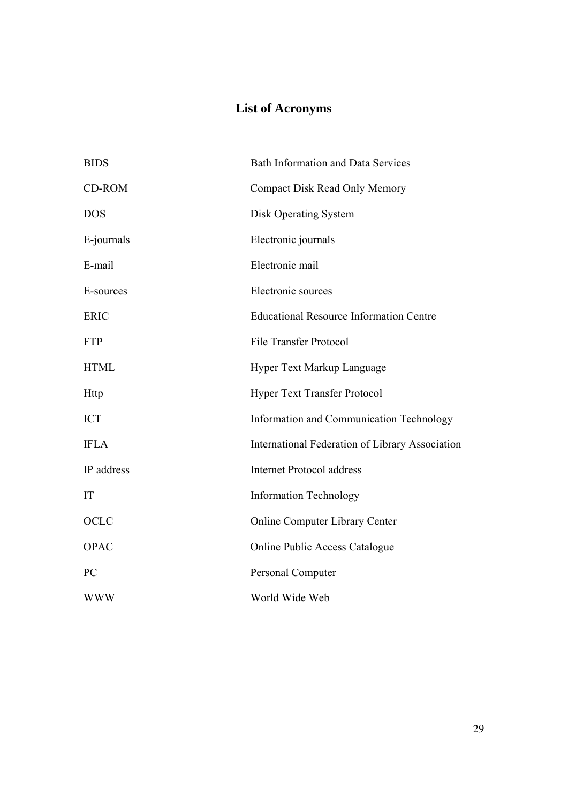# **List of Acronyms**

| <b>BIDS</b> | <b>Bath Information and Data Services</b>       |
|-------------|-------------------------------------------------|
| CD-ROM      | <b>Compact Disk Read Only Memory</b>            |
| <b>DOS</b>  | <b>Disk Operating System</b>                    |
| E-journals  | Electronic journals                             |
| E-mail      | Electronic mail                                 |
| E-sources   | Electronic sources                              |
| <b>ERIC</b> | <b>Educational Resource Information Centre</b>  |
| <b>FTP</b>  | <b>File Transfer Protocol</b>                   |
| <b>HTML</b> | <b>Hyper Text Markup Language</b>               |
| <b>Http</b> | <b>Hyper Text Transfer Protocol</b>             |
| <b>ICT</b>  | Information and Communication Technology        |
| <b>IFLA</b> | International Federation of Library Association |
| IP address  | <b>Internet Protocol address</b>                |
| IT          | <b>Information Technology</b>                   |
| OCLC        | <b>Online Computer Library Center</b>           |
| <b>OPAC</b> | <b>Online Public Access Catalogue</b>           |
| PC          | Personal Computer                               |
| <b>WWW</b>  | World Wide Web                                  |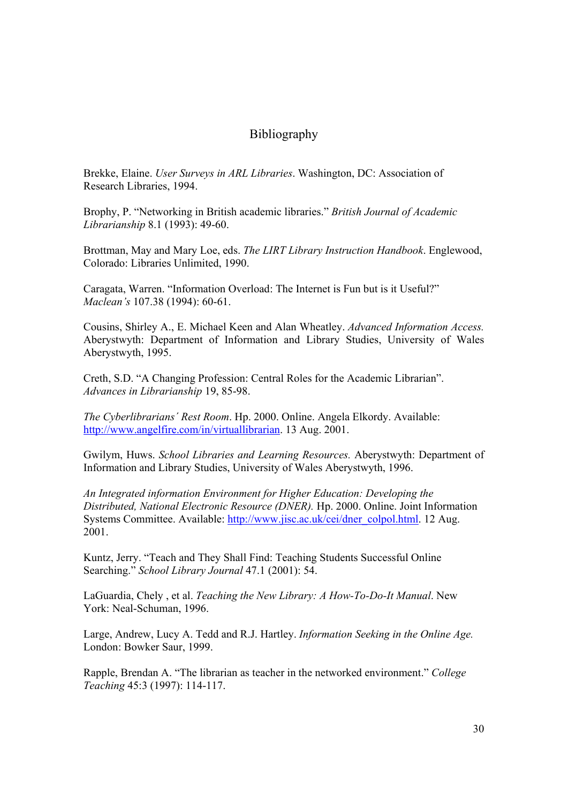# Bibliography

Brekke, Elaine. *User Surveys in ARL Libraries*. Washington, DC: Association of Research Libraries, 1994.

Brophy, P. "Networking in British academic libraries." *British Journal of Academic Librarianship* 8.1 (1993): 49-60.

Brottman, May and Mary Loe, eds. *The LIRT Library Instruction Handbook*. Englewood, Colorado: Libraries Unlimited, 1990.

Caragata, Warren. "Information Overload: The Internet is Fun but is it Useful?" *Maclean's* 107.38 (1994): 60-61.

Cousins, Shirley A., E. Michael Keen and Alan Wheatley. *Advanced Information Access.*  Aberystwyth: Department of Information and Library Studies, University of Wales Aberystwyth, 1995.

Creth, S.D. "A Changing Profession: Central Roles for the Academic Librarian". *Advances in Librarianship* 19, 85-98.

*The Cyberlibrarians´ Rest Room*. Hp. 2000. Online. Angela Elkordy. Available: http://www.angelfire.com/in/virtuallibrarian. 13 Aug. 2001.

Gwilym, Huws. *School Libraries and Learning Resources.* Aberystwyth: Department of Information and Library Studies, University of Wales Aberystwyth, 1996.

*An Integrated information Environment for Higher Education: Developing the Distributed, National Electronic Resource (DNER).* Hp. 2000. Online. Joint Information Systems Committee. Available: http://www.jisc.ac.uk/cei/dner\_colpol.html. 12 Aug. 2001.

Kuntz, Jerry. "Teach and They Shall Find: Teaching Students Successful Online Searching." *School Library Journal* 47.1 (2001): 54.

LaGuardia, Chely , et al. *Teaching the New Library: A How-To-Do-It Manual*. New York: Neal-Schuman, 1996.

Large, Andrew, Lucy A. Tedd and R.J. Hartley. *Information Seeking in the Online Age.* London: Bowker Saur, 1999.

Rapple, Brendan A. "The librarian as teacher in the networked environment." *College Teaching* 45:3 (1997): 114-117.